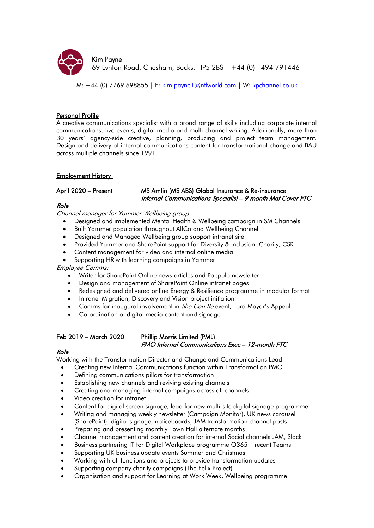

M: +44 (0) 7769 698855 | E: [kim.payne1@ntlworld.com](mailto:kim.payne1@ntlworld.com) | W: [kpchannel.co.uk](https://www.kpchannel.co.uk/)

# Personal Profile

A creative communications specialist with a broad range of skills including corporate internal communications, live events, digital media and multi-channel writing. Additionally, more than 30 years' agency-side creative, planning, producing and project team management. Design and delivery of internal communications content for transformational change and BAU across multiple channels since 1991.

# Employment History

# April 2020 – Present MS Amlin (MS ABS) Global Insurance & Re-insurance Internal Communications Specialist – 9 month Mat Cover FTC

# Role

Channel manager for Yammer Wellbeing group

- Designed and implemented Mental Health & Wellbeing campaign in SM Channels
- Built Yammer population throughout AllCo and Wellbeing Channel
- Designed and Managed Wellbeing group support intranet site
- Provided Yammer and SharePoint support for Diversity & Inclusion, Charity, CSR
- Content management for video and internal online media
- Supporting HR with learning campaigns in Yammer

Employee Comms:

- Writer for SharePoint Online news articles and Poppulo newsletter
- Design and management of SharePoint Online intranet pages
- Redesigned and delivered online Energy & Resilience programme in modular format
- Intranet Migration, Discovery and Vision project initiation
- Comms for inaugural involvement in *She Can Be* event, Lord Mayor's Appeal
- Co-ordination of digital media content and signage

# Feb 2019 – March 2020 Phillip Morris Limited (PML) PMO Internal Communications Exec – 12-month FTC

# Role

Working with the Transformation Director and Change and Communications Lead:

- Creating new Internal Communications function within Transformation PMO
- Defining communications pillars for transformation
- Establishing new channels and reviving existing channels
- Creating and managing internal campaigns across all channels.
- Video creation for intranet
- Content for digital screen signage, lead for new multi-site digital signage programme
- Writing and managing weekly newsletter (Campaign Monitor), UK news carousel (SharePoint), digital signage, noticeboards, JAM transformation channel posts.
- Preparing and presenting monthly Town Hall alternate months
- Channel management and content creation for internal Social channels JAM, Slack
- Business partnering IT for Digital Workplace programme O365 +recent Teams
- Supporting UK business update events Summer and Christmas
- Working with all functions and projects to provide transformation updates
- Supporting company charity campaigns (The Felix Project)
- Organisation and support for Learning at Work Week, Wellbeing programme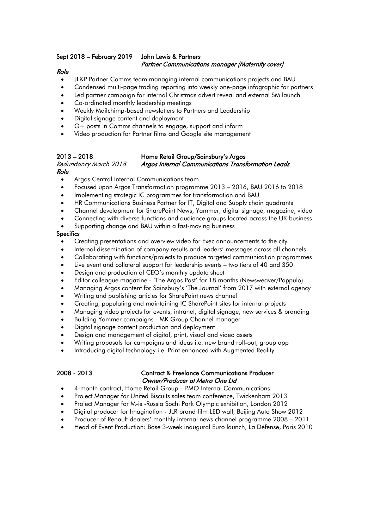# Sept 2018 – February 2019 John Lewis & Partners Partner Communications manager (Maternity cover)

# Role

- JL&P Partner Comms team managing internal communications projects and BAU
- Condensed multi-page trading reporting into weekly one-page infographic for partners
- Led partner campaign for internal Christmas advert reveal and external SM launch
- Co-ordinated monthly leadership meetings
- Weekly Mailchimp-based newsletters to Partners and Leadership
- Digital signage content and deployment
- G+ posts in Comms channels to engage, support and inform
- Video production for Partner films and Google site management

### 2013 – 2018 Home Retail Group/Sainsbury's Argos Redundancy March 2018 Argos Internal Communications Transformation Leads Role

- Argos Central Internal Communications team
- Focused upon Argos Transformation programme 2013 2016, BAU 2016 to 2018
- Implementing strategic IC programmes for transformation and BAU
- HR Communications Business Partner for IT, Digital and Supply chain quadrants
- Channel development for SharePoint News, Yammer, digital signage, magazine, video
- Connecting with diverse functions and audience groups located across the UK business
- Supporting change and BAU within a fast-moving business

## **Specifics**

- Creating presentations and overview video for Exec announcements to the city
- Internal dissemination of company results and leaders' messages across all channels
- Collaborating with functions/projects to produce targeted communication programmes
- Live event and collateral support for leadership events two tiers of 40 and 350
- Design and production of CEO's monthly update sheet
- Editor colleague magazine 'The Argos Post' for 18 months (Newsweaver/Poppulo)
- Managing Argos content for Sainsbury's 'The Journal' from 2017 with external agency
- Writing and publishing articles for SharePoint news channel
- Creating, populating and maintaining IC SharePoint sites for internal projects
- Managing video projects for events, intranet, digital signage, new services & branding
- Building Yammer campaigns MK Group Channel manager
- Digital signage content production and deployment
- Design and management of digital, print, visual and video assets
- Writing proposals for campaigns and ideas i.e. new brand roll-out, group app
- Introducing digital technology i.e. Print enhanced with Augmented Reality

## 2008 - 2013 Contract & Freelance Communications Producer Owner/Producer at Metro One Ltd

- 4-month contract, Home Retail Group PMO Internal Communications
- Project Manager for United Biscuits sales team conference, Twickenham 2013
- Project Manager for M-is -Russia Sochi Park Olympic exhibition, London 2012
- Digital producer for Imagination JLR brand film LED wall, Beijing Auto Show 2012
- Producer of Renault dealers' monthly internal news channel programme 2008 2011
- Head of Event Production: Bose 3-week inaugural Euro launch, La Défense, Paris 2010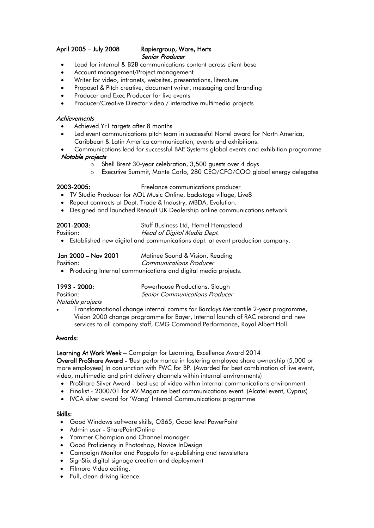### April 2005 – July 2008 Rapiergroup, Ware, Herts Senior Producer

- Lead for internal & B2B communications content across client base
- Account management/Project management
- Writer for video, intranets, websites, presentations, literature
- Proposal & Pitch creative, document writer, messaging and branding
- Producer and Exec Producer for live events
- Producer/Creative Director video / interactive multimedia projects

# **Achievements**

- Achieved Yr1 targets after 8 months
- Led event communications pitch team in successful Nortel award for North America, Caribbean & Latin America communication, events and exhibitions.
- Communications lead for successful BAE Systems global events and exhibition programme Notable projects
	- o Shell Brent 30-year celebration, 3,500 guests over 4 days
	- o Executive Summit, Monte Carlo, 280 CEO/CFO/COO global energy delegates

- 2003-2005: Freelance communications producer
	- TV Studio Producer for AOL Music Online, backstage village, Live8
	- Repeat contracts at Dept. Trade & Industry, MBDA, Evolution.
	- Designed and launched Renault UK Dealership online communications network

2001-2003: Stuff Business Ltd, Hemel Hempstead

Position: Head of Digital Media Dept. • Established new digital and communications dept. at event production company.

Jan 2000 – Nov 2001 Matinee Sound & Vision, Reading

Position: Communications Producer

• Producing Internal communications and digital media projects.

1993 - 2000: Powerhouse Productions, Slough Position: Senior Communications Producer

# Notable projects

• Transformational change internal comms for Barclays Mercantile 2-year programme, Vision 2000 change programme for Bayer, Internal launch of RAC rebrand and new services to all company staff, CMG Command Performance, Royal Albert Hall.

### Awards:

Learning At Work Week – Campaign for Learning, Excellence Award 2014

Overall ProShare Award - 'Best performance in fostering employee share ownership (5,000 or more employees) In conjunction with PWC for BP. (Awarded for best combination of live event, video, multimedia and print delivery channels within internal environments)

- ProShare Silver Award best use of video within internal communications environment
- Finalist 2000/01 for AV Magazine best communications event. (Alcatel event, Cyprus)
- IVCA silver award for 'Wang' Internal Communications programme

### Skills:

- Good Windows software skills, O365, Good level PowerPoint
- Admin user SharePointOnline
- Yammer Champion and Channel manager
- Good Proficiency in Photoshop, Novice InDesign
- Campaign Monitor and Poppulo for e-publishing and newsletters
- SignStix digital signage creation and deployment
- Filmora Video editing.
- Full, clean driving licence.